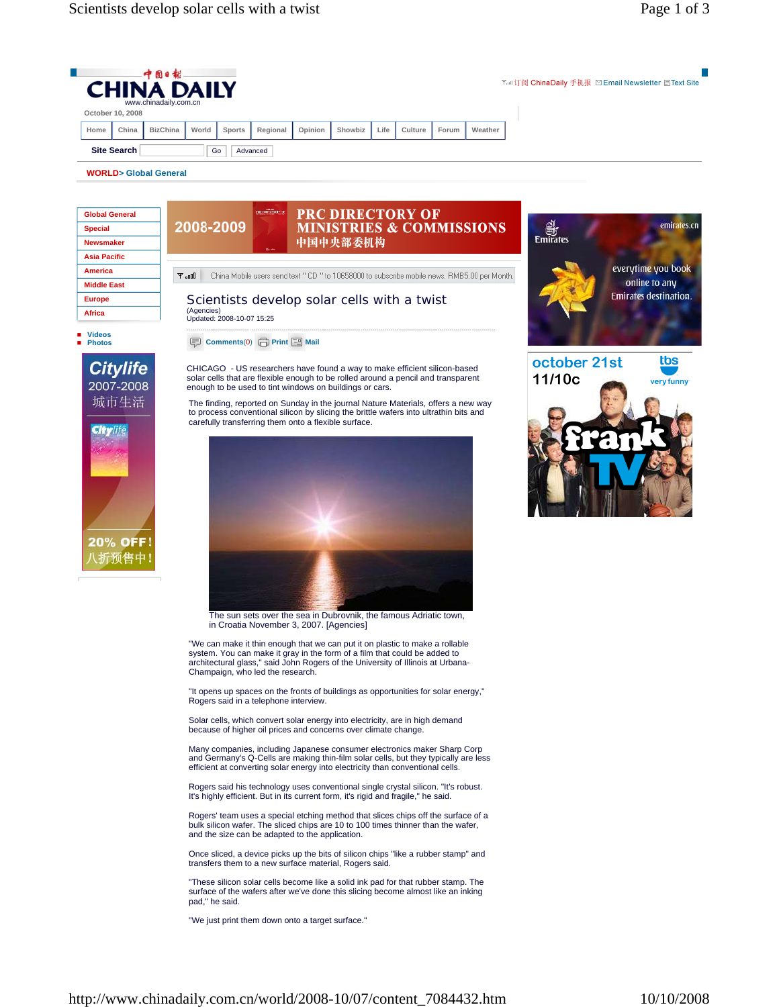|      |                    | 中国日報<br><b>CHINA DAILY</b><br>www.chinadaily.com.cn |       |               |          |         |         |      |         |       |         | Tail订阅 ChinaDaily 手机报 図 Email Newsletter 目Text Site |
|------|--------------------|-----------------------------------------------------|-------|---------------|----------|---------|---------|------|---------|-------|---------|-----------------------------------------------------|
|      | October 10, 2008   |                                                     |       |               |          |         |         |      |         |       |         |                                                     |
| Home | China              | <b>BizChina</b>                                     | World | <b>Sports</b> | Regional | Opinion | Showbiz | Life | Culture | Forum | Weather |                                                     |
|      | <b>Site Search</b> |                                                     | Go    |               | Advanced |         |         |      |         |       |         |                                                     |

PRC DIRECTORY OF MINISTRIES & COMMISSIONS

**WORLD> Global General** 

| <b>Global General</b> |  |
|-----------------------|--|
| <b>Special</b>        |  |
| <b>Newsmaker</b>      |  |
| <b>Asia Pacific</b>   |  |
| <b>America</b>        |  |
| <b>Middle East</b>    |  |
| <b>Europe</b>         |  |
| Africa                |  |



 $T = 0$ 

2008-2009

(Agencies) Updated: 2008-10-07 15:25

**Comments**(0) **Print <b>P** Mail

**Videos Photos**



CHICAGO - US researchers have found a way to make efficient silicon-based solar cells that are flexible enough to be rolled around a pencil and transparent enough to be used to tint windows on buildings or cars.

The finding, reported on Sunday in the journal Nature Materials, offers a new way to process conventional silicon by slicing the brittle wafers into ultrathin bits and carefully transferring them onto a flexible surface.

中国中央部委机构

China Mobile users send text " CD " to 10658000 to subscribe mobile news. RMB5.00 per Month.



The sun sets over the sea in Dubrovnik, the famous Adriatic town, in Croatia November 3, 2007. [Agencies]

"We can make it thin enough that we can put it on plastic to make a rollable system. You can make it gray in the form of a film that could be added to architectural glass," said John Rogers of the University of Illinois at Urbana-Champaign, who led the research.

"It opens up spaces on the fronts of buildings as opportunities for solar energy," Rogers said in a telephone interview.

Solar cells, which convert solar energy into electricity, are in high demand because of higher oil prices and concerns over climate change.

Many companies, including Japanese consumer electronics maker Sharp Corp and Germany's Q-Cells are making thin-film solar cells, but they typically are less efficient at converting solar energy into electricity than conventional cells.

Rogers said his technology uses conventional single crystal silicon. "It's robust. It's highly efficient. But in its current form, it's rigid and fragile," he said.

Rogers' team uses a special etching method that slices chips off the surface of a bulk silicon wafer. The sliced chips are 10 to 100 times thinner than the wafer, and the size can be adapted to the application.

Once sliced, a device picks up the bits of silicon chips "like a rubber stamp" and transfers them to a new surface material, Rogers said.

"These silicon solar cells become like a solid ink pad for that rubber stamp. The surface of the wafers after we've done this slicing become almost like an inking pad," he said.

"We just print them down onto a target surface."



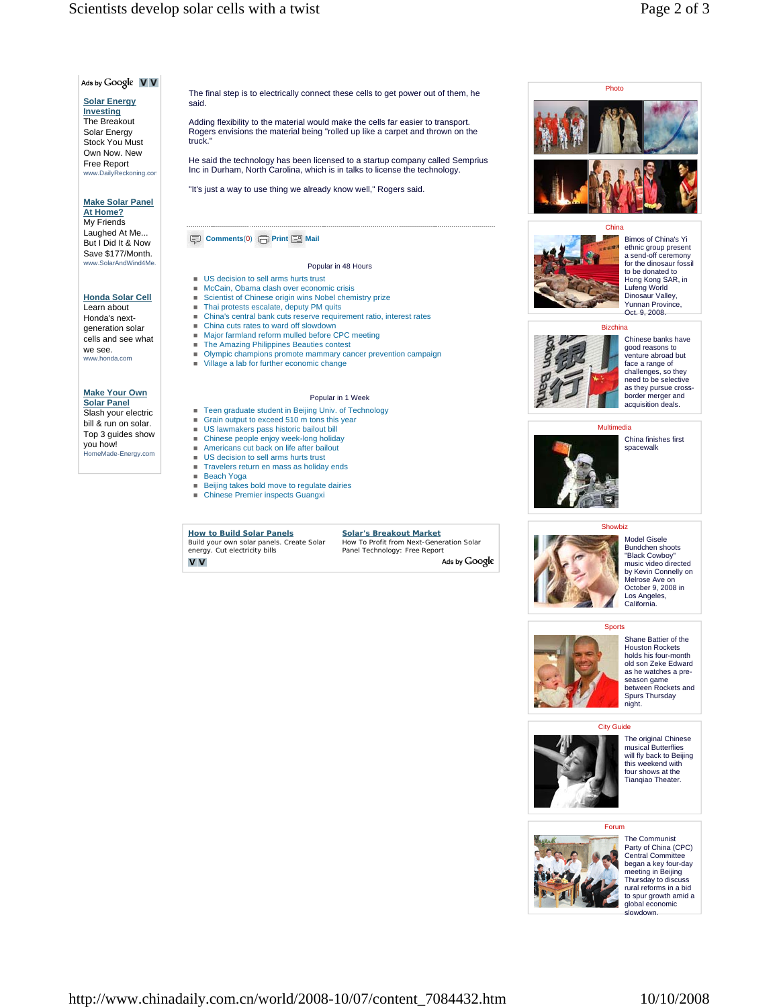## Scientists develop solar cells with a twist Page 2 of 3

# Ads by Google V V

#### **Solar Energy Investing**

The Breakout Solar Energy Stock You Must Own Now. New Free Report www.DailyReckoning.com

### **Make Solar Panel At Home?**

My Friends Laughed At Me... But I Did It & Now Save \$177/Month. www.SolarAndWind4Me.

### **Honda Solar Cell** Learn about Honda's next-

generation solar cells and see what we see. www.honda.com

#### **Make Your Own Solar Panel**

Slash your electric bill & run on solar. Top 3 guides show you how! you now.<br>HomeMade-Energy.com The final step is to electrically connect these cells to get power out of them, he said.

Adding flexibility to the material would make the cells far easier to transport. Rogers envisions the material being "rolled up like a carpet and thrown on the truck."

He said the technology has been licensed to a startup company called Semprius Inc in Durham, North Carolina, which is in talks to license the technology.

"It's just a way to use thing we already know well," Rogers said.

### **Comments**(0) **Print P** Mail

### Popular in 48 Hours

- **US** decision to sell arms hurts trust
- McCain, Obama clash over economic crisis Scientist of Chinese origin wins Nobel chemistry prize
- Thai protests escalate, deputy PM quits
- China's central bank cuts reserve requirement ratio, interest rates
- China cuts rates to ward off slowdown
- Major farmland reform mulled before CPC meeting
- **The Amazing Philippines Beauties contest** Olympic champions promote mammary cancer prevention campaign
- Village a lab for further economic change

### Popular in 1 Week

- Teen graduate student in Beijing Univ. of Technology
- Grain output to exceed 510 m tons this year
- US lawmakers pass historic bailout bill
- Chinese people enjoy week-long holiday
- Americans cut back on life after bailout
- US decision to sell arms hurts trust Travelers return en mass as holiday ends
- Beach Yoga
- **Beijing takes bold move to regulate dairies**
- Chinese Premier inspects Guangxi

**How to Build Solar Panels** Build your own solar panels. Create Solar energy. Cut electricity bills **V** V

Panel Technology: Free Report Ads by Google



### China



Bimos of China's Yi ethnic group present a send-off ceremony for the dinosaur fossil to be donated to Hong Kong SAR, in Lufeng World Dinosaur Valley, Yunnan Province, Oct. 9, 2008.



Chinese banks have good reasons to venture abroad but face a range of challenges, so they need to be selective as they pursue cross-border merger and acquisition deals.

### **Multimedia**



China finishes first spacewalk





Model Gisele Bundchen shoots "Black Cowboy" music video directed by Kevin Connelly on Melrose Ave on October 9, 2008 in Los Angeles, California.



Shane Battier of the Houston Rockets holds his four-month old son Zeke Edward as he watches a preseason game<br>between Rockets and Spurs Thursday night.



The original Chinese musical Butterflies will fly back to Beijing this weekend with four shows at the Tianqiao Theater.

## Forum



The Communist Party of China (CPC) Central Committee began a key four-day meeting in Beijing Thursday to discuss rural reforms in a bid to spur growth amid a global economic owdown

**Solar's Breakout Market** How To Profit from Next-Generation Solar